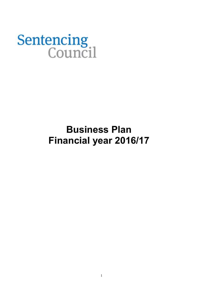# **Sentencing**<br>Council

# **Business Plan Financial year 2016/17**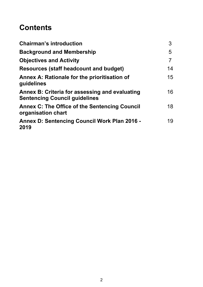# **Contents**

| <b>Chairman's introduction</b>                                                         | 3  |
|----------------------------------------------------------------------------------------|----|
| <b>Background and Membership</b>                                                       | 5  |
| <b>Objectives and Activity</b>                                                         | 7  |
| <b>Resources (staff headcount and budget)</b>                                          | 14 |
| Annex A: Rationale for the prioritisation of<br>guidelines                             | 15 |
| Annex B: Criteria for assessing and evaluating<br><b>Sentencing Council guidelines</b> | 16 |
| <b>Annex C: The Office of the Sentencing Council</b><br>organisation chart             | 18 |
| <b>Annex D: Sentencing Council Work Plan 2016 -</b><br>2019                            | 19 |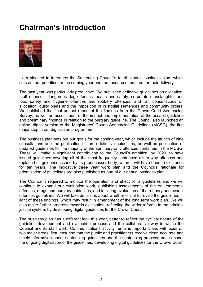# <span id="page-2-0"></span>**Chairman's introduction**



I am pleased to introduce the Sentencing Council's fourth annual business plan, which sets out our priorities for the coming year and the resources required for their delivery.

The past year was particularly productive. We published definitive guidelines on allocation, theft offences, dangerous dog offences, health and safety, corporate manslaughter and food safety and hygiene offences and robbery offences; and ran consultations on allocation, guilty pleas and the imposition of custodial sentences and community orders. We published the final annual report of the findings from the Crown Court Sentencing Survey, as well an assessment of the impact and implementation of the assault guideline and preliminary findings in relation to the burglary guideline. The Council also launched an online, digital version of the Magistrates' Courts Sentencing Guidelines (MCSG), the first major step in our digitisation programme.

The business plan sets out our goals for the coming year, which include the launch of nine consultations and the publication of three definitive guidelines, as well as publication of updated guidelines for the majority of the summary-only offences contained in the MCSG. These will make a significant contribution to the Council's ambition, by 2020, to have issued guidelines covering all of the most frequently sentenced either-way offences and replaced all guidance issued by its predecessor body, when it will have been in existence for ten years. The indicative three year work plan and the Council's rationale for prioritisation of guidelines are also published as part of our annual business plan.

The Council is required to monitor the operation and effect of its guidelines and we will continue to expand our evaluation work, publishing assessments of the environmental offences, drugs and burglary guidelines, and initiating evaluation of the robbery and sexual offences guidelines. We will take decisions about whether or not to revise the guidelines in light of these findings, which may result in amendment of the long term work plan. We will also make further progress towards digitisation, reflecting the wider reforms to the criminal justice system, by developing digital guidelines for the Crown Court.

The business plan has a different look this year, better to reflect the cyclical nature of the guideline development and evaluation process and the collaborative way in which the Council and its staff work. Communications activity remains important and will focus on two major areas: first, ensuring that the public and practitioners receive clear, accurate and timely information about sentencing guidelines and the sentencing process; and second, the ongoing digitisation of the guidelines, developing digital guidelines for the Crown Court.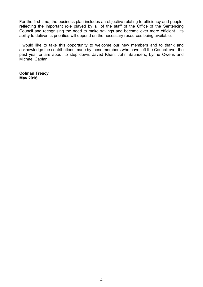For the first time, the business plan includes an objective relating to efficiency and people, reflecting the important role played by all of the staff of the Office of the Sentencing Council and recognising the need to make savings and become ever more efficient. Its ability to deliver its priorities will depend on the necessary resources being available.

I would like to take this opportunity to welcome our new members and to thank and acknowledge the contributions made by those members who have left the Council over the past year or are about to step down: Javed Khan, John Saunders, Lynne Owens and Michael Caplan.

**Colman Treacy May 2016**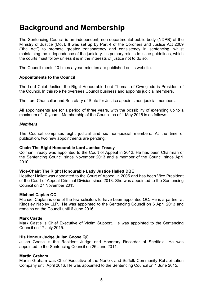# <span id="page-4-0"></span>**Background and Membership**

The Sentencing Council is an independent, non-departmental public body (NDPB) of the Ministry of Justice (MoJ). It was set up by Part 4 of the Coroners and Justice Act 2009 ("the Act") to promote greater transparency and consistency in sentencing, whilst maintaining the independence of the judiciary. Its primary role is to issue guidelines, which the courts must follow unless it is in the interests of justice not to do so.

The Council meets 10 times a year; minutes are published on its website.

## **Appointments to the Council**

The Lord Chief Justice, the Right Honourable Lord Thomas of Cwmgiedd is President of the Council. In this role he oversees Council business and appoints judicial members.

The Lord Chancellor and Secretary of State for Justice appoints non-judicial members.

All appointments are for a period of three years, with the possibility of extending up to a maximum of 10 years. Membership of the Council as of 1 May 2016 is as follows:

### *Members*

The Council comprises eight judicial and six non-judicial members. At the time of publication, two new appointments are pending:

## **Chair: The Right Honourable Lord Justice Treacy**

Colman Treacy was appointed to the Court of Appeal in 2012. He has been Chairman of the Sentencing Council since November 2013 and a member of the Council since April 2010.

#### **Vice-Chair: The Right Honourable Lady Justice Hallett DBE**

Heather Hallett was appointed to the Court of Appeal in 2005 and has been Vice President of the Court of Appeal Criminal Division since 2013. She was appointed to the Sentencing Council on 27 November 2013.

## **Michael Caplan QC**

Michael Caplan is one of the few solicitors to have been appointed QC. He is a partner at Kingsley Napley LLP. He was appointed to the Sentencing Council on 6 April 2013 and remains on the Council until 6 June 2016.

## **Mark Castle**

Mark Castle is Chief Executive of Victim Support. He was appointed to the Sentencing Council on 17 July 2015.

## **His Honour Judge Julian Goose QC**

Julian Goose is the Resident Judge and Honorary Recorder of Sheffield. He was appointed to the Sentencing Council on 26 June 2014.

#### **Martin Graham**

Martin Graham was Chief Executive of the Norfolk and Suffolk Community Rehabilitation Company until April 2016. He was appointed to the Sentencing Council on 1 June 2015.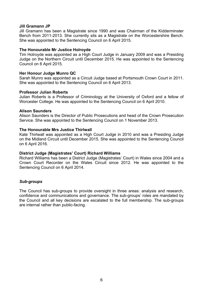## **Jill Gramann JP**

Jill Gramann has been a Magistrate since 1990 and was Chairman of the Kidderminster Bench from 2011-2013. She currently sits as a Magistrate on the Worcestershire Bench. She was appointed to the Sentencing Council on 6 April 2015.

### **The Honourable Mr Justice Holroyde**

Tim Holroyde was appointed as a High Court Judge in January 2009 and was a Presiding Judge on the Northern Circuit until December 2015. He was appointed to the Sentencing Council on 6 April 2015.

### **Her Honour Judge Munro QC**

Sarah Munro was appointed as a Circuit Judge based at Portsmouth Crown Court in 2011. She was appointed to the Sentencing Council on 6 April 2013.

### **Professor Julian Roberts**

Julian Roberts is a Professor of Criminology at the University of Oxford and a fellow of Worcester College. He was appointed to the Sentencing Council on 6 April 2010.

# **Alison Saunders**

Alison Saunders is the Director of Public Prosecutions and head of the Crown Prosecution Service. She was appointed to the Sentencing Council on 1 November 2013.

### **The Honourable Mrs Justice Thirlwall**

Kate Thirlwall was appointed as a High Court Judge in 2010 and was a Presiding Judge on the Midland Circuit until December 2015. She was appointed to the Sentencing Council on 6 April 2016.

#### **District Judge (Magistrates' Court) Richard Williams**

Richard Williams has been a District Judge (Magistrates' Court) in Wales since 2004 and a Crown Court Recorder on the Wales Circuit since 2012. He was appointed to the Sentencing Council on 6 April 2014.

## *Sub-groups*

The Council has sub-groups to provide oversight in three areas: analysis and research, confidence and communications and governance. The sub-groups' roles are mandated by the Council and all key decisions are escalated to the full membership. The sub-groups are internal rather than public-facing.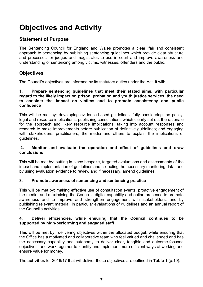# <span id="page-6-0"></span>**Objectives and Activity**

# **Statement of Purpose**

The Sentencing Council for England and Wales promotes a clear, fair and consistent approach to sentencing by publishing sentencing guidelines which provide clear structure and processes for judges and magistrates to use in court and improve awareness and understanding of sentencing among victims, witnesses, offenders and the public.

# **Objectives**

The Council's objectives are informed by its statutory duties under the Act. It will:

## **1. Prepare sentencing guidelines that meet their stated aims, with particular regard to the likely impact on prison, probation and youth justice services, the need to consider the impact on victims and to promote consistency and public confidence**

This will be met by: developing evidence-based guidelines, fully considering the policy, legal and resource implications; publishing consultations which clearly set out the rationale for the approach and likely resource implications; taking into account responses and research to make improvements before publication of definitive guidelines; and engaging with stakeholders, practitioners, the media and others to explain the implications of guidelines.

# **2. Monitor and evaluate the operation and effect of guidelines and draw conclusions**

This will be met by: putting in place bespoke, targeted evaluations and assessments of the impact and implementation of guidelines and collecting the necessary monitoring data; and by using evaluation evidence to review and if necessary, amend guidelines.

# **3. Promote awareness of sentencing and sentencing practice**

This will be met by: making effective use of consultation events, proactive engagement of the media, and maximising the Council's digital capability and online presence to promote awareness and to improve and strengthen engagement with stakeholders; and by publishing relevant material, in particular evaluations of guidelines and an annual report of the Council's activities.

# **4. Deliver efficiencies, while ensuring that the Council continues to be supported by high-performing and engaged staff**

This will be met by: delivering objectives within the allocated budget, while ensuring that the Office has a motivated and collaborative team who feel valued and challenged and has the necessary capability and autonomy to deliver clear, tangible and outcome-focused objectives, and work together to identify and implement more efficient ways of working and ensure value for money.

The **activities** for 2016/17 that will deliver these objectives are outlined in **Table 1** (p.10).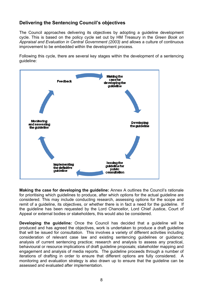# **Delivering the Sentencing Council's objectives**

The Council approaches delivering its objectives by adopting a guideline development cycle. This is based on the policy cycle set out by HM Treasury in the *Green Book on Appraisal and Evaluation in Central Government (2003)* and allows a culture of continuous improvement to be embedded within the development process.

Following this cycle, there are several key stages within the development of a sentencing guideline:



**Making the case for developing the guideline:** Annex A outlines the Council's rationale for prioritising which guidelines to produce, after which options for the actual guideline are considered. This may include conducting research, assessing options for the scope and remit of a guideline, its objectives, or whether there is in fact a need for the guideline. If the guideline has been requested by the Lord Chancellor, Lord Chief Justice, Court of Appeal or external bodies or stakeholders, this would also be considered.

**Developing the guideline***:* Once the Council has decided that a guideline will be produced and has agreed the objectives, work is undertaken to produce a draft guideline that will be issued for consultation. This involves a variety of different activities including consideration of relevant case law and existing sentencing guidelines or guidance; analysis of current sentencing practice; research and analysis to assess any practical, behavioural or resource implications of draft guideline proposals; stakeholder mapping and engagement and analysis of media reports. The guideline proceeds through a number of iterations of drafting in order to ensure that different options are fully considered. A monitoring and evaluation strategy is also drawn up to ensure that the guideline can be assessed and evaluated after implementation.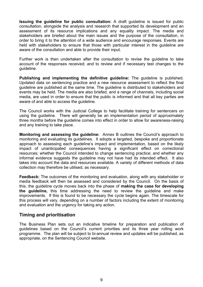**Issuing the guideline for public consultation:** A draft guideline is issued for public consultation, alongside the analysis and research that supported its development and an assessment of its resource implications and any equality impact. The media and stakeholders are briefed about the main issues and the purpose of the consultation, in order to bring it to the attention of a wide audience and encourage responses. Events are held with stakeholders to ensure that those with particular interest in the quideline are aware of the consultation and able to provide their input.

Further work is then undertaken after the consultation to revise the guideline to take account of the responses received; and to review and if necessary test changes to the guideline.

**Publishing and implementing the definitive guideline:** The guideline is published. Updated data on sentencing practice and a new resource assessment to reflect the final guideline are published at the same time. The guideline is distributed to stakeholders and events may be held. The media are also briefed, and a range of channels, including social media, are used in order to ensure that the public is informed and that all key parties are aware of and able to access the guideline.

The Council works with the Judicial College to help facilitate training for sentencers on using the guideline. There will generally be an implementation period of approximately three months before the guideline comes into effect in order to allow for awareness-raising and any training to take place.

**Monitoring and assessing the guideline:** Annex B outlines the Council's approach to monitoring and evaluating its guidelines. It adopts a targeted, bespoke and proportionate approach to assessing each guideline's impact and implementation, based on the likely impact of unanticipated consequences having a significant effect on correctional resources; whether the Council intended to change sentencing practice; and whether any informal evidence suggests the guideline may not have had its intended effect. It also takes into account the data and resources available. A variety of different methods of data collection may therefore be utilised, as necessary.

**Feedback:** The outcomes of the monitoring and evaluation, along with any stakeholder or media feedback will then be assessed and considered by the Council. On the basis of this, the guideline cycle moves back into the phase of **making the case for developing the guideline,** this time addressing the need to review the guideline and make improvements. If this is found to be necessary the cycle begins again. The timescale for this process will vary, depending on a number of factors including the extent of monitoring and evaluation and the urgency for taking any action.

# **Timing and prioritisation**

The Business Plan sets out an indicative timeline for preparation and publication of guidelines based on the Council's current priorities and its three year rolling work programme. The plan will be subject to bi-annual review and updates will be published, as appropriate, on the Sentencing Council website.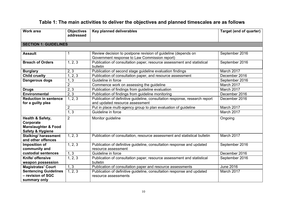# **Table 1: The main activities to deliver the objectives and planned timescales are as follows**

| <b>Work area</b>                                                                               | <b>Objectives</b><br>addressed | Key planned deliverables                                                                                       | Target (end of quarter) |
|------------------------------------------------------------------------------------------------|--------------------------------|----------------------------------------------------------------------------------------------------------------|-------------------------|
| <b>SECTION 1: GUIDELINES</b>                                                                   |                                |                                                                                                                |                         |
|                                                                                                |                                |                                                                                                                |                         |
| <b>Assault</b>                                                                                 | 1                              | Review decision to postpone revision of guideline (depends on<br>Government response to Law Commission report) | September 2016          |
| <b>Breach of Orders</b>                                                                        | 1, 2, 3                        | Publication of consultation paper, resource assessment and statistical<br>bulletin                             | September 2016          |
| <b>Burglary</b>                                                                                | 2, 3                           | Publication of second stage guideline evaluation findings                                                      | March 2017              |
| <b>Child cruelty</b>                                                                           | 1, 2, 3                        | Publication of consultation paper, and resource assessment                                                     | December 2016           |
| Dangerous dogs                                                                                 | 1, 3                           | Guideline in force                                                                                             | September 2016          |
|                                                                                                | $\overline{2}$                 | Commence work on assessing the guideline                                                                       | March 2017              |
| <b>Drugs</b>                                                                                   | 2, 3                           | Publication of findings from guideline evaluation                                                              | March 2017              |
| <b>Environmental</b>                                                                           | 2, 3                           | Publication of findings from guideline monitoring                                                              | December 2016           |
| <b>Reduction in sentence</b><br>for a guilty plea                                              | 1, 2, 3                        | Publication of definitive guideline, consultation response, research report<br>and updated resource assessment | December 2016           |
|                                                                                                | $\overline{2}$                 | Put in place multi-agency group to plan evaluation of guideline                                                | March 2017              |
|                                                                                                | 1, 3                           | Guideline in force                                                                                             | March 2017              |
| Health & Safety,<br>Corporate<br><b>Manslaughter &amp; Food</b><br><b>Safety &amp; Hygiene</b> | 2                              | Monitor guideline                                                                                              | Ongoing                 |
| <b>Stalking/harassment</b><br>and other offences                                               | 1, 2, 3                        | Publication of consultation, resource assessment and statistical bulletin                                      | March 2017              |
| Imposition of<br>community and                                                                 | 1, 2, 3                        | Publication of definitive guideline, consultation response and updated<br>resource assessment                  | September 2016          |
| custodial sentences                                                                            | 1, 3                           | Guideline in force                                                                                             | December 2016           |
| Knife/ offensive<br>weapon possession                                                          | 1, 2, 3                        | Publication of consultation paper, resource assessment and statistical<br>bulletin                             | September 2016          |
| <b>Magistrates' Court</b>                                                                      | 1, 3                           | Publication of consultation paper and resource assessments                                                     | <b>June 2016</b>        |
| <b>Sentencing Guidelines</b><br>- revision of SGC<br>summary only                              | 1, 2, 3                        | Publication of definitive guideline, consultation response and updated<br>resource assessments                 | March 2017              |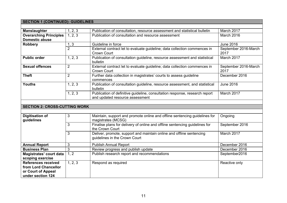# **SECTION 1 (CONTINUED): GUIDELINES**

| <b>Manslaughter</b>                                                                           | 1, 2, 3        | Publication of consultation, resource assessment and statistical bulletin                                      | March 2017                   |
|-----------------------------------------------------------------------------------------------|----------------|----------------------------------------------------------------------------------------------------------------|------------------------------|
| <b>Overarching Principles</b><br><b>Domestic abuse</b>                                        | 1, 2, 3        | Publication of consultation and resource assessment                                                            | March 2016                   |
| Robbery                                                                                       | 1, 3           | Guideline in force                                                                                             | June 2016                    |
|                                                                                               | $\overline{2}$ | External contract let to evaluate guideline; data collection commences in<br>Crown Court                       | September 2016-March<br>2017 |
| <b>Public order</b>                                                                           | 1, 2, 3        | Publication of consultation guideline, resource assessment and statistical<br>bulletin                         | March 2017                   |
| <b>Sexual offences</b>                                                                        | $\overline{2}$ | External contract let to evaluate guideline; data collection commences in<br><b>Crown Court</b>                | September 2016-March<br>2017 |
| <b>Theft</b>                                                                                  | $\overline{2}$ | Further data collection in magistrates' courts to assess guideline<br>commences                                | December 2016                |
| <b>Youths</b>                                                                                 | 1, 2, 3        | Publication of consultation guideline, resource assessment, and statistical<br>bulletin                        | <b>June 2016</b>             |
|                                                                                               | 1, 2, 3        | Publication of definitive guideline, consultation response, research report<br>and updated resource assessment | March 2017                   |
|                                                                                               |                |                                                                                                                |                              |
| <b>SECTION 2: CROSS-CUTTING WORK</b>                                                          |                |                                                                                                                |                              |
|                                                                                               |                |                                                                                                                |                              |
| <b>Digitisation of</b><br>guidelines                                                          | 3              | Maintain, support and promote online and offline sentencing guidelines for<br>magistrates (MCSG)               | Ongoing                      |
|                                                                                               | 3              | Finalise plans for delivery of online and offline sentencing guidelines for<br>the Crown Court                 | September 2016               |
|                                                                                               | 3              | Deliver, promote, support and maintain online and offline sentencing<br>guidelines in the Crown Court          | March 2017                   |
| <b>Annual Report</b>                                                                          | 3              | <b>Publish Annual Report</b>                                                                                   | December 2016                |
| <b>Business Plan</b>                                                                          | 3              | Review progress and publish update                                                                             | December 2016                |
| Magistrates' court data<br>scoping exercise                                                   | 1, 2           | Publish research report and recommendations                                                                    | September2016                |
| <b>References received</b><br>from Lord Chancellor<br>or Court of Appeal<br>under section 124 | 1, 2, 3        | Respond as required                                                                                            | Reactive only                |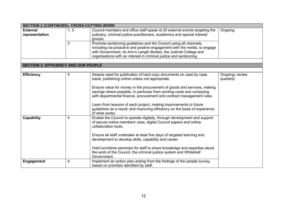| <b>SECTION 2 (CONTINUED): CROSS-CUTTING WORK</b> |      |                                                                                                                                                                                                                                                                                                                                                                                                                                                                                                                             |                              |
|--------------------------------------------------|------|-----------------------------------------------------------------------------------------------------------------------------------------------------------------------------------------------------------------------------------------------------------------------------------------------------------------------------------------------------------------------------------------------------------------------------------------------------------------------------------------------------------------------------|------------------------------|
| <b>External</b><br>representation                | 1, 3 | Council members and office staff speak at 20 external events targeting the<br>judiciary, criminal justice practitioners, academics and special interest<br>groups                                                                                                                                                                                                                                                                                                                                                           | Ongoing                      |
|                                                  | 3    | Promote sentencing guidelines and the Council using all channels,<br>including via proactive and positive engagement with the media, to engage<br>with Government, its Arm's Length Bodies, the Judicial College and<br>organisations with an interest in criminal justice and sentencing.                                                                                                                                                                                                                                  |                              |
| <b>SECTION 3: EFFICIENCY AND OUR PEOPLE</b>      |      |                                                                                                                                                                                                                                                                                                                                                                                                                                                                                                                             |                              |
|                                                  |      |                                                                                                                                                                                                                                                                                                                                                                                                                                                                                                                             |                              |
| <b>Efficiency</b>                                | 4    | Assess need for publication of hard copy documents on case by case<br>basis, publishing online unless not appropriate.<br>Ensure value for money in the procurement of goods and services, making<br>savings where possible, in particular from printing costs and complying<br>with departmental finance, procurement and contract management rules.<br>Learn from lessons of each project, making improvements to future<br>guidelines as a result; and improving efficiency on the basis of experience<br>of what works. | Ongoing; review<br>quarterly |
| Capability                                       | 4    | Enable the Council to operate digitally, through development and support<br>of secure online members' area, digital Council papers and online<br>collaboration tools.<br>Ensure all staff undertake at least five days of targeted learning and<br>development to develop skills, capability and career.<br>Hold lunchtime seminars for staff to share knowledge and expertise about<br>the work of the Council, the criminal justice system and Whitehall/<br>Government.                                                  |                              |
| <b>Engagement</b>                                | 4    | Implement an action plan arising from the findings of the people survey,<br>based on priorities identified by staff.                                                                                                                                                                                                                                                                                                                                                                                                        |                              |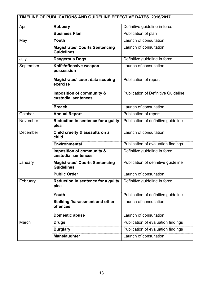| TIMELINE OF PUBLICATIONS AND GUIDELINE EFFECTIVE DATES 2016/2017 |                                                             |                                            |  |
|------------------------------------------------------------------|-------------------------------------------------------------|--------------------------------------------|--|
| April                                                            | <b>Robbery</b>                                              | Definitive guideline in force              |  |
|                                                                  | <b>Business Plan</b>                                        | Publication of plan                        |  |
| May                                                              | Youth                                                       | Launch of consultation                     |  |
|                                                                  | <b>Magistrates' Courts Sentencing</b><br><b>Guidelines</b>  | Launch of consultation                     |  |
| July                                                             | <b>Dangerous Dogs</b>                                       | Definitive guideline in force              |  |
| September                                                        | Knife/offensive weapon<br>possession                        | Launch of consultation                     |  |
|                                                                  | Magistrates' court data scoping<br>exercise                 | Publication of report                      |  |
|                                                                  | <b>Imposition of community &amp;</b><br>custodial sentences | <b>Publication of Definitive Guideline</b> |  |
|                                                                  | <b>Breach</b>                                               | Launch of consultation                     |  |
| October                                                          | <b>Annual Report</b>                                        | Publication of report                      |  |
| November                                                         | Reduction in sentence for a guilty<br>plea                  | Publication of definitive guideline        |  |
| December                                                         | Child cruelty & assaults on a<br>child                      | Launch of consultation                     |  |
|                                                                  | <b>Environmental</b>                                        | Publication of evaluation findings         |  |
|                                                                  | <b>Imposition of community &amp;</b><br>custodial sentences | Definitive guideline in force              |  |
| January                                                          | <b>Magistrates' Courts Sentencing</b><br><b>Guidelines</b>  | Publication of definitive guideline        |  |
|                                                                  | <b>Public Order</b>                                         | Launch of consultation                     |  |
| February                                                         | Reduction in sentence for a guilty<br>plea                  | Definitive guideline in force              |  |
|                                                                  | Youth                                                       | Publication of definitive guideline        |  |
|                                                                  | <b>Stalking /harassment and other</b><br>offences           | Launch of consultation                     |  |
|                                                                  | <b>Domestic abuse</b>                                       | Launch of consultation                     |  |
| March                                                            | <b>Drugs</b>                                                | Publication of evaluation findings         |  |
|                                                                  | <b>Burglary</b>                                             | Publication of evaluation findings         |  |
|                                                                  | <b>Manslaughter</b>                                         | Launch of consultation                     |  |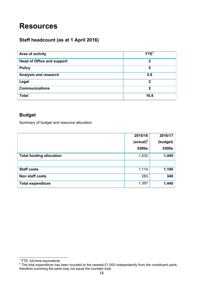# <span id="page-13-0"></span>**Resources**

# **Staff headcount (as at 1 April 2016)**

| Area of activity                  | FTE <sup>1</sup> |
|-----------------------------------|------------------|
| <b>Head of Office and support</b> | $\mathbf 2$      |
| <b>Policy</b>                     | 5                |
| Analysis and research             | 5.8              |
| Legal                             | $\mathbf 2$      |
| <b>Communications</b>             | $\mathbf 2$      |
| <b>Total</b>                      | 16.8             |

# **Budget**

Summary of budget and resource allocation

|                                 | 2015/16               | 2016/17  |
|---------------------------------|-----------------------|----------|
|                                 | (actual) <sup>2</sup> | (budget) |
|                                 | £000s                 | £000s    |
| <b>Total funding allocation</b> | 1,532                 | 1,440    |
|                                 |                       |          |
| <b>Staff costs</b>              | 1,114                 | 1,100    |
| <b>Non staff costs</b>          | 283                   | 340      |
| <b>Total expenditure</b>        | 1,397                 | 1,440    |

<sup>&</sup>lt;u>\_</u><br>1 FTE: full-time equivalents<br><sup>2</sup> The total expenditure has been rounded to the nearest £1,000 independently from the constituent parts, therefore summing the parts may not equal the rounded total.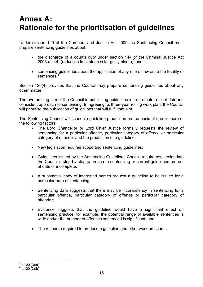# <span id="page-14-0"></span>**Annex A: Rationale for the prioritisation of guidelines**

Under section 120 of the Coroners and Justice Act 2009 the Sentencing Council must prepare sentencing guidelines about:

- the discharge of a court's duty under section 144 of the Criminal Justice Act 2003 (c. 44) (reduction in sentences for guilty pleas); $3$  and
- sentencing guidelines about the application of any rule of law as to the totality of sentences.

Section 120(4) provides that the Council may prepare sentencing guidelines about any other matter.

The overarching aim of the Council in publishing guidelines is to promote a clear, fair and consistent approach to sentencing. In agreeing its three-year rolling work plan, the Council will prioritise the publication of guidelines that will fulfil that aim.

The Sentencing Council will schedule guideline production on the basis of one or more of the following factors:

- The Lord Chancellor or Lord Chief Justice formally requests the review of sentencing for a particular offence, particular category of offence or particular category of offender and the production of a guideline;
- New legislation requires supporting sentencing guidelines;
- Guidelines issued by the Sentencing Guidelines Council require conversion into the Council's step by step approach to sentencing or current guidelines are out of date or incomplete;
- A substantial body of interested parties request a guideline to be issued for a particular area of sentencing;
- Sentencing data suggests that there may be inconsistency in sentencing for a particular offence, particular category of offence or particular category of offender;
- Evidence suggests that the guideline would have a significant effect on sentencing practice, for example, the potential range of available sentences is wide and/or the number of offences sentenced is significant; and
- The resource required to produce a quideline and other work pressures.

 $\frac{1}{(3)}$ s.120 (3)(a)

 $4$  s.120  $(3)(b)$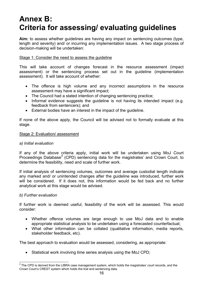# <span id="page-15-0"></span>**Annex B: Criteria for assessing/ evaluating guidelines**

**Aim:** to assess whether guidelines are having any impact on sentencing outcomes (type, length and severity) and/ or incurring any implementation issues. A two stage process of decision-making will be undertaken:

# Stage 1: Consider the need to assess the guideline

This will take account of changes forecast in the resource assessment (impact assessment) or the sentencing process set out in the guideline (implementation assessment). It will take account of whether:

- The offence is high volume and any incorrect assumptions in the resource assessment may have a significant impact;
- The Council had a stated intention of changing sentencing practice;
- Informal evidence suggests the guideline is not having its intended impact (e.g. feedback from sentencers); and
- External bodies have an interest in the impact of the guideline.

If none of the above apply, the Council will be advised not to formally evaluate at this stage.

## Stage 2: Evaluation/ assessment

## *a) Initial evaluation*

If any of the above criteria apply, initial work will be undertaken using MoJ Court Proceedings Database*<sup>5</sup>* (CPD) sentencing data for the magistrates' and Crown Court, to determine the feasibility, need and scale of further work.

If initial analysis of sentencing volumes, outcomes and average custodial length indicate any marked and/ or unintended changes after the guideline was introduced, further work will be considered. If it does not, this information would be fed back and no further analytical work at this stage would be advised.

# *b) Further evaluation*

If further work is deemed useful, feasibility of the work will be assessed. This would consider:

- Whether offence volumes are large enough to use MoJ data and to enable appropriate statistical analysis to be undertaken using a forecasted counterfactual;
- What other information can be collated (qualitative information, media reports, stakeholder feedback, etc).

The best approach to evaluation would be assessed, considering, as appropriate:

Statistical work involving time series analysis using the MoJ CPD;

 5 The CPD is derived from the LIBRA case management system, which holds the magistrates' court records, and the Crown Court's CREST system which holds the trial and sentencing data.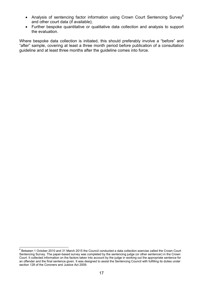- Analysis of sentencing factor information using Crown Court Sentencing Survey<sup>6</sup> and other court data (if available);
- Further bespoke quantitative or qualitative data collection and analysis to support the evaluation.

Where bespoke data collection is initiated, this should preferably involve a "before" and "after" sample, covering at least a three month period before publication of a consultation guideline and at least three months after the guideline comes into force.

 6 Between 1 October 2010 and 31 March 2015 the Council conducted a data collection exercise called the Crown Court Sentencing Survey. The paper-based survey was completed by the sentencing judge (or other sentencer) in the Crown Court. It collected information on the factors taken into account by the judge in working out the appropriate sentence for an offender and the final sentence given. It was designed to assist the Sentencing Council with fulfilling its duties under section 128 of the Coroners and Justice Act 2009.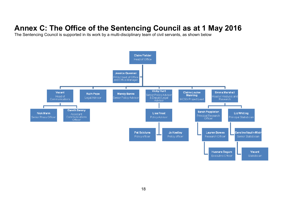# <span id="page-17-0"></span>**Annex C: The Office of the Sentencing Council as at 1 May 2016**

The Sentencing Council is supported in its work by a multi-disciplinary team of civil servants, as shown below